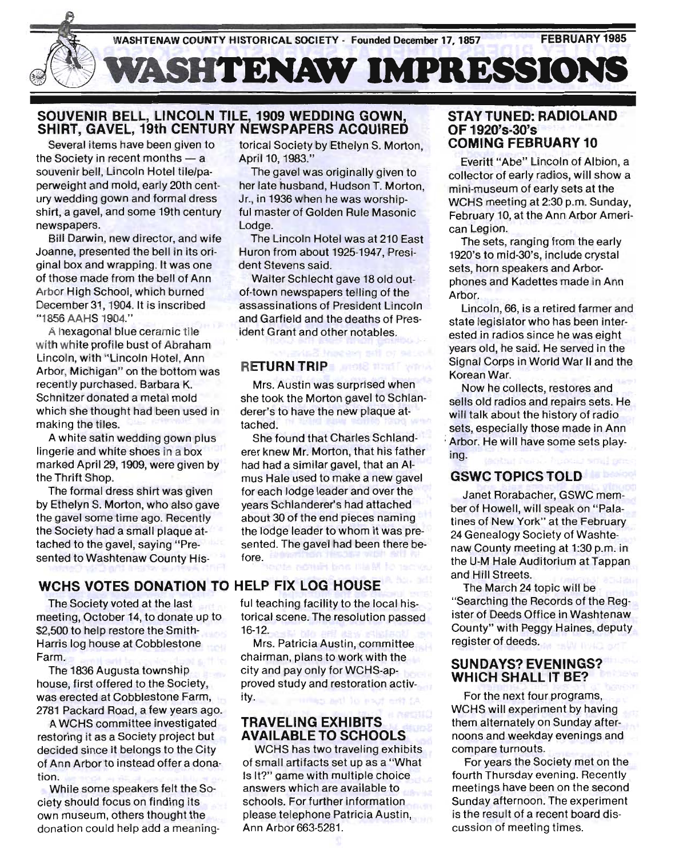

# SOUVENIR BELL, LINCOLN TILE, 1909 WEDDING GOWN, SHIRT, GAVEL, 19th CENTURY NEWSPAPERS ACQUIRED

Several items have been given to the Society in recent months  $-$  a souvenir bell, Lincoln Hotel tile/paperweight and mold, early 20th century wedding gown and formal dress shirt, a gavel, and some 19th century newspapers.

Bill Darwin, new director, and wife Joanne, presented the bell in its original box and wrapping. It was one of those made from the bell of Ann Arbor High School, which burned December 31, 1904. It is inscribed "1856 AAHS 1904."

A hexagonal blue ceramic tile with white profile bust of Abraham Lincoln, with "Lincoln Hotel, Ann Arbor, Michigan" on the bottom was recently purchased. Barbara K. Schnitzer donated a metal mold which she thought had been used in making the tiles.

A white satin wedding gown plus lingerie and white shoes in a box marked April 29, 1909, were given by the Thrift Shop.

The formal dress shirt was given by Ethelyn S. Morton, who also gave the gavel some time ago. Recently the Society had a small plaque attached to the gavel, saying "Presented to Washtenaw County His-

# WCHS VOTES DONATION TO HELP FIX LOG HOUSE

The SOciety voted at the last meeting, October 14, to donate up to \$2,500 to help restore the Smith-Harris log house at Cobblestone Farm.

The 1836 Augusta township house, first offered to the Society, was erected at Cobblestone Farm, 2781 Packard Road, a few years ago.

A WCHS committee investigated restoring it as a Society project but decided since it belongs to the City of Ann Arbor to instead offer a donation.

While some speakers felt the Society should focus on finding its own museum, others thought the donation could help add a meaningtorical Society by Ethelyn S. Morton, April 10, 1983."

The gavel was originally given to her late husband, Hudson T. Morton, Jr., in 1936 when he was worshipful master of Golden Rule Masonic Lodge.

The Lincoln Hotel was at 210 East Huron from about 1925-1947, President Stevens said.

Walter Schlecht gave 18 old outof-town newspapers telling of the assassinations of President Lincoln and Garfield and the deaths of President Grant and other notables.

#### RETURN TRIP

Mrs. Austin was surprised when she took the Morton gavel to Schlanderer's to have the new plaque attached.

She found that Charles Schlanderer knew Mr. Morton, that his father had had a similar gavel, that an AImus Hale used to make a new gavel for each lodge leader and over the years Schlanderer's had attached about 30 of the end pieces naming the lodge leader to whom it was presented. The gavel had been there before.

ful teaching facility to the local historical scene. The resolution passed 16-12.

Mrs. Patricia Austin, committee chairman, plans to work with the city and pay only for WCHS-approved study and restoration activity.

# TRAVELING EXHIBITS AVAILABLE TO SCHOOLS

WCHS has two traveling exhibits of small artifacts set up as a "What Is It?" game with multiple choice answers which are available to schools. For further information please telephone Patricia Austin, Ann Arbor 663-5281.

# STAY TUNED: RADIOLAND OF 1920's-30's<br>COMING FEBRUARY 10

Everitt "Abe" Lincoln of Albion, a collector of early radios, will show a . mini-museum of early sets at the WCHS meeting at 2:30 p.m. Sunday, February 10, at the Ann Arbor American Legion.

The sets, ranging from the early 1920's to mid-30's, include crystal sets, horn speakers and Arborphones and Kadettes made in Ann Arbor.

Lincoln, 66, is a retired farmer and state legislator who has been interested in radios since he was eight years old, he said: He served in the Signal Corps in World War II and the Korean War.

Now he collects, restores and sells old radios and repairs sets. He will talk about the history of radio sets, especially those made in Ann Arbor. He will have some sets playing.

# GSWC TOPICS TOLD

Janet Rorabacher, GSWC member of Howell, will speak on "Palatines of New York" at the February 24 Genealogy Society of Washtenaw County meeting at 1:30 p.m. in the U-M Hale Auditorium at Tappan and Hill Streets.

The March 24 topic will be "Searching the Records of the Register of Deeds Office in Washtenaw County" with Peggy Haines, deputy register of deeds.

#### SUNDAYS? EVENINGS? WHICH SHALL IT BE?

For the next four programs, WCHS will experiment by having them alternately on Sunday afternoons and weekday evenings and compare turnouts.

For years the Society met on the fourth Thursday evening. Recently meetings have been on the second Sunday afternoon. The experiment is the result of a recent board discussion of meeting times.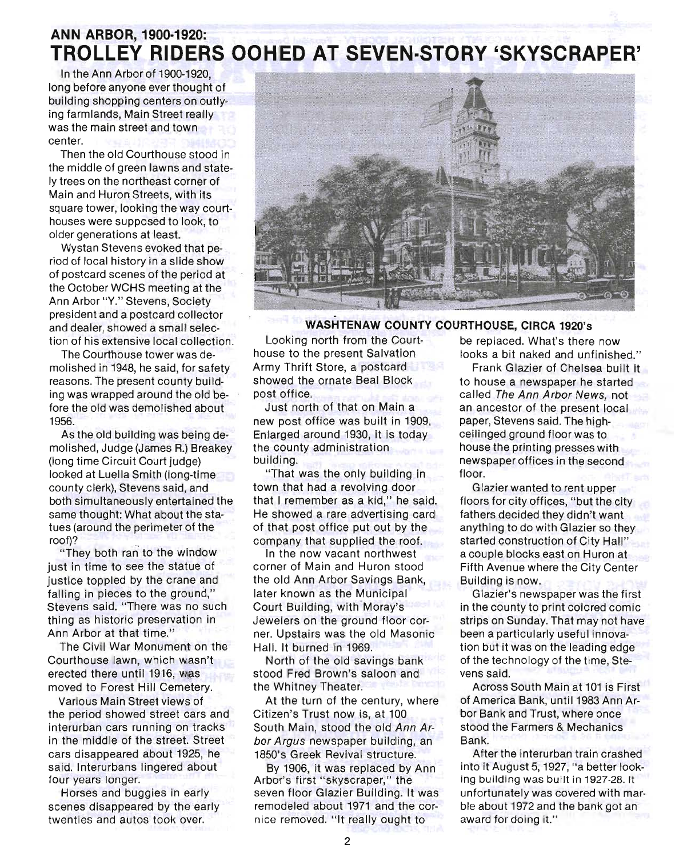# **ANN ARBOR, 1900·1920: TROLLEY RIDERS OOHED AT SEVEN-STORY 'SKYSCRAPER'**

In the Ann Arbor of 1900-1920, long before anyone ever thought of building shopping centers on outlying farmlands, Main Street really was the main street and town center.

Then the old Courthouse stood in the middle of green lawns and stately trees on the northeast corner of Main and Huron Streets, with its square tower, looking the way courthouses were supposed to look, to older generations at least.

Wystan Stevens evoked that period of local history in a slide show of postcard scenes of the period at the October WCHS meeting at the Ann Arbor "Y." Stevens, Society president and a postcard collector and dealer, showed a small selection of his extensive local collection.

The Courthouse tower was demolished in 1948, he said, for safety reasons. The present county building was wrapped around the old before the old was demolished about 1956.

As the old building was being demolished, Judge (James R.) Breakey (long time Circuit Court judge) looked at Luella Smith (long-time county clerk), Stevens said, and both simultaneously entertained the same thought: What about the statues (around the perimeter of the roof)?

"They both ran to the window just in time to see the statue of justice toppled by the crane and falling in pieces to the ground," Stevens said. "There was no such thing as historic preservation in Ann Arbor at that time."

The Civil War Monument on the Courthouse lawn, which wasn't erected there until 1916, was moved to Forest Hill Cemetery.

Various Main Street views of the period showed street cars and interurban cars running on tracks in the middle of the street. Street cars disappeared about 1925, he said. Interurbans lingered about four years longer.

Horses and buggies in early scenes disappeared by the early twenties and autos took over.



# - **WASHTENAW COUNTY COURTHOUSE, CIRCA** 1920's

Looking north from the Court-<br>be replaced. What's there now Army Thrift Store, a postcard Frank Glazier of Chelsea built it showed the ornate Beal Block post office.

Just north of that on Main a new post office was built in 1909. Enlarged around 1930, it is today the county administration building.

"That was the only building in town that had a revolving door that I remember as a kid," he said. He showed a rare advertising card of that post office put out by the company that supplied the roof.

In the now vacant northwest corner of Main and Huron stood the old Ann Arbor Savings Bank, later known as the Municipal Court Building, with Moray's Jewelers on the ground floor corner. Upstairs was the old Masonic Hall. It burned in 1969.

North of the old savings bank stood Fred Brown's saloon and the Whitney Theater.

At the turn of the century, where Citizen's Trust now is, at 100 South Main, stood the old Ann Arbor Argus newspaper building, an 1850's Greek Revival structure,

By 1906, it was replaced by Ann Arbor's first "skyscraper," the seven floor Glazier Building. It was remodeled about 1971 and the cornice removed. "It really ought to

house to the present Salvation looks a bit naked and unfinished."

to house a newspaper he started called The Ann Arbor News, not an ancestor of the present local paper, Stevens said. The highceilinged ground floor was to house the printing presses with newspaper offices in the second floor.

Glazier wanted to rent upper floors for city offices, "but the city fathers decided they didn't want anything to do with Glazier so they started construction of City Hall" a couple blocks east on Huron at Fifth Avenue where the City Center Building is now.

Glazier'S newspaper was the first in the county to print colored comic strips on Sunday. That may not have been a particularly useful innovation but it was on the leading edge of the technology of the time, Stevens said.

Across South Main at 101 is First of America Bank, until 1983 Ann Arbor Bank and Trust, where once stood the Farmers & Mechanics Bank.

After the interurban train crashed into it August 5, 1927, "a better looking building was built in 1927-28. It unfortunately was covered with marble about 1972 and the bank got an award for doing it."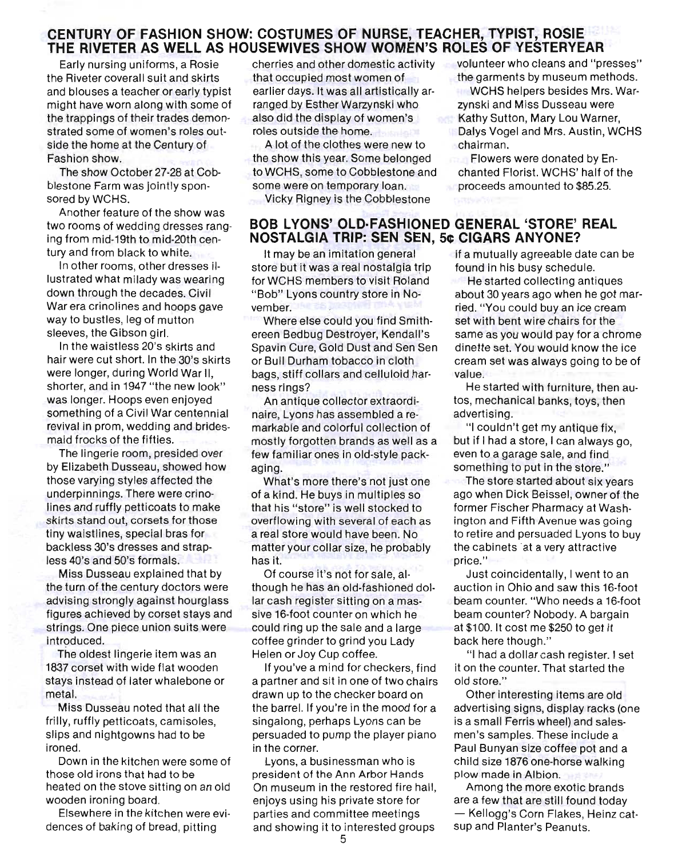#### **CENTURY OF FASHION SHOW: COSTUMES OF NURSE, TEACHER, TYPIST, ROSIE THE RIVETER AS WELL AS HOUSEWIVES SHOW WOMEN'S ROLES OF YESTERYEAR**

Early nursing uniforms, a Rosie the Riveter coverall suit and skirts and blouses a teacher or early typist might have worn along with some of the trappings of their trades demonstrated some of women's roles outside the home at the Century of Fashion show.

The show October 27-28 at Cobblestone Farm was jointly sponsored by WCHS.

Another feature of the show was two rooms of wedding dresses ranging from mid-19th to mid-20th century and from black to white.

In other rooms, other dresses illustrated what milady was wearing down through the decades. Civil War era crinolines and hoops gave way to bustles, leg of mutton sleeves, the Gibson girl.

In the waistless 20's skirts and hair were cut short. In the 30's skirts were longer, during World War II, shorter, and in 1947 "the new look" was longer. Hoops even enjoyed something of a Civil War centennial revival in prom, wedding and bridesmaid frocks of the fifties.

The lingerie room, presided over by Elizabeth Dusseau, showed how those varying styles affected the underpinnings. There were crinolines and ruffly petticoats to make skirts stand out, corsets for those tiny waistlines, special bras for backless 30's dresses and strapless 40's and 50's formals.

Miss Dusseau explained that by the turn of the century doctors were advising strongly against hourglass figures achieved by corset stays and strings. One piece union suits were introduced.

The oldest lingerie item was an 1837 corset with wide flat wooden stays instead of later whalebone or metal.

Miss Dusseau noted that all the frilly, ruffly petticoats, camisoles, slips and nightgowns had to be ironed.

Down in the kitchen were some of those old irons that had to be heated on the stove sitting on an old wooden ironing board.

Elsewhere in the kitchen were evidences of baking of bread, pitting

cherries and other domestic activity that occupied most women of earlier days. It was all artistically arranged by Esther Warzynski who also did the display of women's roles outside the home. inlaFift.

A lot of the clothes were new to the show this year. Some belonged to WCHS, some to Cobblestone and some were on temporary loan.

Vicky Rigney is the Cobblestone

# **BOB LYONS' OLD·FASHIONED GENERAL 'STORE' REAL NOSTALGIA TRIP: SEN SEN, 5¢ CIGARS ANYONE?**

It may be an imitation general store but it was a real nostalgia trip for WCHS members to visit Roland "Bob" Lyons country store in November.

Where else could you find Smithereen Bedbug Destroyer, Kendall's Spavin Cure, Gold Dust and Sen Sen or Bull Durham tobacco in cloth bags, stiff collars and celluloid harness rings?

An antique collector extraordinaire, Lyons has assembled a remarkable and colorful collection of mostly forgotten brands as well as a few familiar ones in Old-style packaging.

What's more there's not just one of a kind. He buys in multiples so that his "store" is well stocked to overflowing with several of each as a real store would have been. No matter your collar size, he probably has it.

Of course it's not for sale, although he has an old-fashioned dollar cash register sitting on a massive 16-foot counter on which he could ring up the sale and a large coffee grinder to grind you Lady Helen or Joy Cup coffee.

If you've a mind for checkers, find a partner and sit in one of two chairs drawn up to the checker board on the barrel. If you're in the mood for a singalong, perhaps Lyons can be persuaded to pump the player piano in the corner.

Lyons, a businessman who is president of the Ann Arbor Hands On museum in the restored fire hall, enjoys using his private store for parties and committee meetings and showing it to interested groups

volunteer who cleans and "presses" the garments by museum methods.

WCHS helpers besides Mrs. Warzynski and Miss Dusseau were Kathy Sutton, Mary Lou Warner, Dalys Vogel and Mrs. Austin, WCHS chairman.

Flowers were donated by Enchanted Florist. WCHS' half of the proceeds amounted to \$85.25.

if a mutually agreeable date can be found in his busy schedule.

He started collecting antiques about 30 years ago when he got married. "You could buy an ice cream set with bent wire chairs for the same as you would pay for a chrome dinette set. You would know the ice cream set was always going to be of value.

He started with furniture, then autos, mechanical banks, toys, then advertising.

"I couldn't get my antique fix, but if I had a store, I can always go, even to a garage sale, and find something to put in the store."

The store started about six years ago when Dick Beissel, owner of the former Fischer Pharmacy at Washington and Fifth Avenue was going to retire and persuaded Lyons to buy the cabinets 'at a very attractive price."

Just coincidentally, I went to an auction in Ohio and saw this 16-foot beam counter. "Who needs a 16-foot beam counter? Nobody. A bargain at \$100. It cost me \$250 to get it back here though."

"I had a dollar cash register. I set it on the counter. That started the old store."

Other interesting items are old advertising signs, display racks (one is a small Ferris wheel) and salesmen's samples. These include a Paul Bunyan size coffee pot and a child size 1876 one-horse walking plow made in Albion.

Among the more exotic brands are a few that are still found today - Kellogg's Corn Flakes, Heinz catsup and Planter's Peanuts.